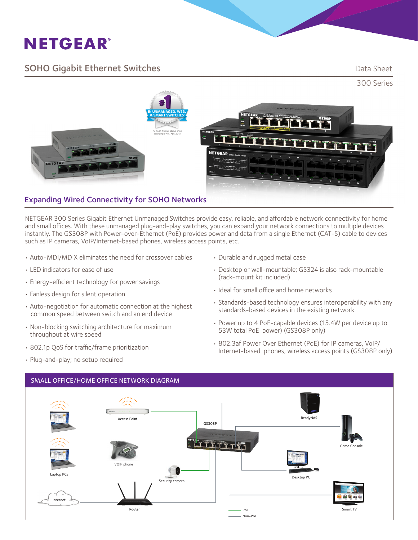# **NETGEAR®**

### **SOHO Gigabit Ethernet Switches Example 2018** Data Sheet



#### Expanding Wired Connectivity for SOHO Networks

NETGEAR 300 Series Gigabit Ethernet Unmanaged Switches provide easy, reliable, and affordable network connectivity for home and small offices. With these unmanaged plug-and-play switches, you can expand your network connections to multiple devices instantly. The GS308P with Power-over-Ethernet (PoE) provides power and data from a single Ethernet (CAT-5) cable to devices such as IP cameras, VoIP/Internet-based phones, wireless access points, etc.

- Auto-MDI/MDIX eliminates the need for crossover cables
- LED indicators for ease of use
- Energy-efficient technology for power savings
- Fanless design for silent operation
- Auto-negotiation for automatic connection at the highest common speed between switch and an end device
- Non-blocking switching architecture for maximum throughput at wire speed
- • 802.1p QoS for traffic/frame prioritization
- Plug-and-play; no setup required
- Durable and rugged metal case
- Desktop or wall-mountable; GS324 is also rack-mountable (rack-mount kit included)
- Ideal for small office and home networks
- Standards-based technology ensures interoperability with any standards-based devices in the existing network
- Power up to 4 PoE-capable devices (15.4W per device up to 53W total PoE power) (GS308P only)
- • 802.3af Power Over Ethernet (PoE) for IP cameras, VoIP/ Internet-based phones, wireless access points (GS308P only)